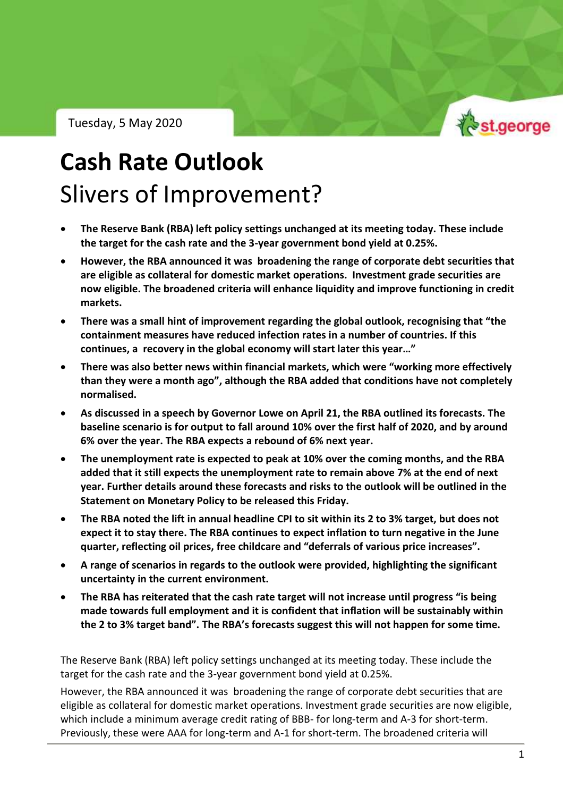Tuesday, 5 May 2020



RBA Outlook – Tuesday, 5 May 2020

# **Cash Rate Outlook** Slivers of Improvement?

- **The Reserve Bank (RBA) left policy settings unchanged at its meeting today. These include the target for the cash rate and the 3-year government bond yield at 0.25%.**
- **However, the RBA announced it was broadening the range of corporate debt securities that are eligible as collateral for domestic market operations. Investment grade securities are now eligible. The broadened criteria will enhance liquidity and improve functioning in credit markets.**
- **There was a small hint of improvement regarding the global outlook, recognising that "the containment measures have reduced infection rates in a number of countries. If this continues, a recovery in the global economy will start later this year…"**
- **There was also better news within financial markets, which were "working more effectively than they were a month ago", although the RBA added that conditions have not completely normalised.**
- **As discussed in a speech by Governor Lowe on April 21, the RBA outlined its forecasts. The baseline scenario is for output to fall around 10% over the first half of 2020, and by around 6% over the year. The RBA expects a rebound of 6% next year.**
- **The unemployment rate is expected to peak at 10% over the coming months, and the RBA added that it still expects the unemployment rate to remain above 7% at the end of next year. Further details around these forecasts and risks to the outlook will be outlined in the Statement on Monetary Policy to be released this Friday.**
- **The RBA noted the lift in annual headline CPI to sit within its 2 to 3% target, but does not expect it to stay there. The RBA continues to expect inflation to turn negative in the June quarter, reflecting oil prices, free childcare and "deferrals of various price increases".**
- **A range of scenarios in regards to the outlook were provided, highlighting the significant uncertainty in the current environment.**
- **The RBA has reiterated that the cash rate target will not increase until progress "is being made towards full employment and it is confident that inflation will be sustainably within the 2 to 3% target band". The RBA's forecasts suggest this will not happen for some time.**

The Reserve Bank (RBA) left policy settings unchanged at its meeting today. These include the target for the cash rate and the 3-year government bond yield at 0.25%.

However, the RBA announced it was broadening the range of corporate debt securities that are eligible as collateral for domestic market operations. Investment grade securities are now eligible, which include a minimum average credit rating of BBB- for long-term and A-3 for short-term. Previously, these were AAA for long-term and A-1 for short-term. The broadened criteria will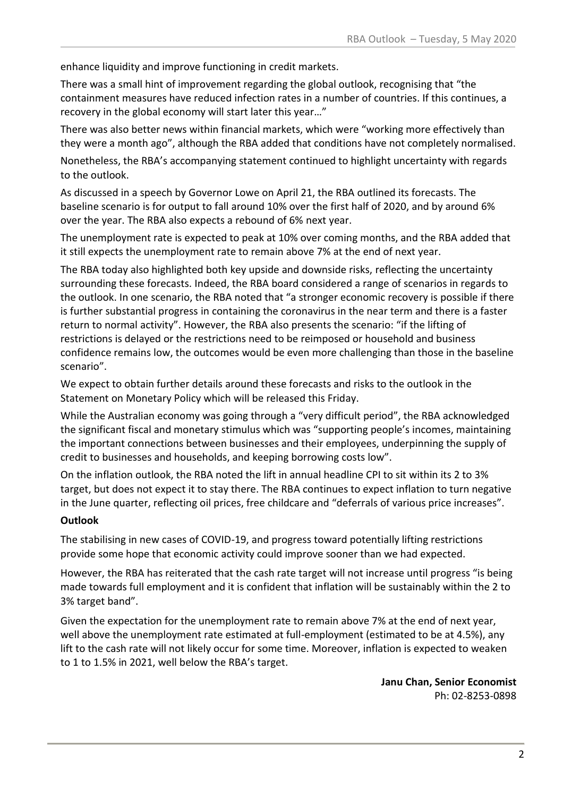enhance liquidity and improve functioning in credit markets.

There was a small hint of improvement regarding the global outlook, recognising that "the containment measures have reduced infection rates in a number of countries. If this continues, a recovery in the global economy will start later this year…"

There was also better news within financial markets, which were "working more effectively than they were a month ago", although the RBA added that conditions have not completely normalised.

Nonetheless, the RBA's accompanying statement continued to highlight uncertainty with regards to the outlook.

As discussed in a speech by Governor Lowe on April 21, the RBA outlined its forecasts. The baseline scenario is for output to fall around 10% over the first half of 2020, and by around 6% over the year. The RBA also expects a rebound of 6% next year.

The unemployment rate is expected to peak at 10% over coming months, and the RBA added that it still expects the unemployment rate to remain above 7% at the end of next year.

The RBA today also highlighted both key upside and downside risks, reflecting the uncertainty surrounding these forecasts. Indeed, the RBA board considered a range of scenarios in regards to the outlook. In one scenario, the RBA noted that "a stronger economic recovery is possible if there is further substantial progress in containing the coronavirus in the near term and there is a faster return to normal activity". However, the RBA also presents the scenario: "if the lifting of restrictions is delayed or the restrictions need to be reimposed or household and business confidence remains low, the outcomes would be even more challenging than those in the baseline scenario".

We expect to obtain further details around these forecasts and risks to the outlook in the Statement on Monetary Policy which will be released this Friday.

While the Australian economy was going through a "very difficult period", the RBA acknowledged the significant fiscal and monetary stimulus which was "supporting people's incomes, maintaining the important connections between businesses and their employees, underpinning the supply of credit to businesses and households, and keeping borrowing costs low".

On the inflation outlook, the RBA noted the lift in annual headline CPI to sit within its 2 to 3% target, but does not expect it to stay there. The RBA continues to expect inflation to turn negative in the June quarter, reflecting oil prices, free childcare and "deferrals of various price increases".

### **Outlook**

The stabilising in new cases of COVID-19, and progress toward potentially lifting restrictions provide some hope that economic activity could improve sooner than we had expected.

However, the RBA has reiterated that the cash rate target will not increase until progress "is being made towards full employment and it is confident that inflation will be sustainably within the 2 to 3% target band".

Given the expectation for the unemployment rate to remain above 7% at the end of next year, well above the unemployment rate estimated at full-employment (estimated to be at 4.5%), any lift to the cash rate will not likely occur for some time. Moreover, inflation is expected to weaken to 1 to 1.5% in 2021, well below the RBA's target.

> **Janu Chan, Senior Economist** Ph: 02-8253-0898